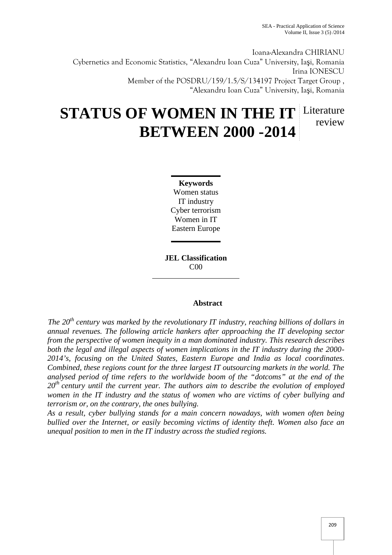Ioana-Alexandra CHIRIANU Cybernetics and Economic Statistics, "Alexandru Ioan Cuza" University, Ia i, Romania Irina IONESCU Member of the POSDRU/159/1.5/S/134197 Project Target Group , "Alexandru Ioan Cuza" University, Ia i, Romania

# **STATUS OF WOMEN IN THE IT** Literature **BETWEEN 2000 -2014** review

**Keywords** Women status IT industry Cyber terrorism Women in IT Eastern Europe

**JEL Classification** C00

## **Abstract**

*The 20th century was marked by the revolutionary IT industry, reaching billions of dollars in annual revenues. The following article hankers after approaching the IT developing sector from the perspective of women inequity in a man dominated industry. This research describes both the legal and illegal aspects of women implications in the IT industry during the 2000- 2014's, focusing on the United States, Eastern Europe and India as local coordinates. Combined, these regions count for the three largest IT outsourcing markets in the world. The analysed period of time refers to the worldwide boom of the "dotcoms" at the end of the 20th century until the current year. The authors aim to describe the evolution of employed women in the IT industry and the status of women who are victims of cyber bullying and terrorism or, on the contrary, the ones bullying.*

*As a result, cyber bullying stands for a main concern nowadays, with women often being bullied over the Internet, or easily becoming victims of identity theft. Women also face an unequal position to men in the IT industry across the studied regions.*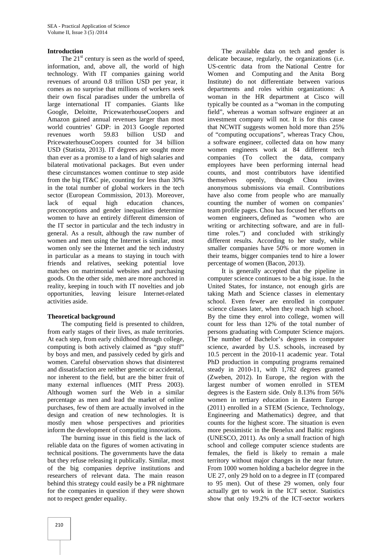## **Introduction**

The  $21<sup>st</sup>$  century is seen as the world of speed, information, and, above all, the world of high technology. With IT companies gaining world revenues of around 0.8 trillion USD per year, it comes as no surprise that millions of workers seek their own fiscal paradises under the umbrella of large international IT companies. Giants like Google, Deloitte, PricewaterhouseCoopers and Amazon gained annual revenues larger than most world countries' GDP: in 2013 Google reported revenues worth 59.83 billion USD and PricewaterhouseCoopers counted for 34 billion USD (Statista, 2013). IT degrees are sought more than ever as a promise to a land of high salaries and bilateral motivational packages. But even under these circumstances women continue to step aside from the big IT&C pie, counting for less than 30% in the total number of global workers in the tech sector (European Commission, 2013). Moreover, lack of equal high education chances, preconceptions and gender inequalities determine women to have an entirely different dimension of the IT sector in particular and the tech industry in general. As a result, although the raw number of women and men using the Internet is similar, most women only see the Internet and the tech industry in particular as a means to staying in touch with friends and relatives, seeking potential love matches on matrimonial websites and purchasing goods. On the other side, men are more anchored in reality, keeping in touch with IT novelties and job opportunities, leaving leisure Internet-related activities aside.

#### **Theoretical background**

The computing field is presented to children, from early stages of their lives, as male territories. At each step, from early childhood through college, computing is both actively claimed as "guy stuff" by boys and men, and passively ceded by girls and women. Careful observation shows that disinterest and dissatisfaction are neither genetic or accidental, nor inherent to the field, but are the bitter fruit of many external influences (MIT Press 2003). Although women surf the Web in a similar percentage as men and lead the market of online purchases, few of them are actually involved in the design and creation of new technologies. It is mostly men whose perspectives and priorities inform the development of computing innovations.

The burning issue in this field is the lack of reliable data on the figures of women activating in technical positions. The governments have the data but they refuse releasing it publically. Similar, most of the big companies deprive institutions and researchers of relevant data. The main reason behind this strategy could easily be a PR nightmare for the companies in question if they were shown not to respect gender equality.

The available data on tech and gender is delicate because, regularly, the organizations (i.e. US-centric data from the National Centre for Women and Computing and the Anita Borg Institute) do not differentiate between various departments and roles within organizations: A woman in the HR department at Cisco will typically be counted as a "woman in the computing field", whereas a woman software engineer at an investment company will not. It is for this cause that NCWIT suggests women hold more than 25% of "computing occupations", whereas Tracy Chou, a software engineer, collected data on how many women engineers work at 84 different tech companies (To collect the data, company employees have been performing internal head counts, and most contributors have identified themselves openly, though Chou invites anonymous submissions via email. Contributions have also come from people who are manually counting the number of women on companies' team profile pages. Chou has focused her efforts on women engineers, defined as "women who are writing or architecting software, and are in fulltime roles.") and concluded with strikingly different results. According to her study, while smaller companies have 50% or more women in their teams, bigger companies tend to hire a lower percentage of women (Bacon, 2013).

It is generally accepted that the pipeline in computer science continues to be a big issue. In the United States, for instance, not enough girls are taking Math and Science classes in elementary school. Even fewer are enrolled in computer science classes later, when they reach high school. By the time they enrol into college, women will count for less than 12% of the total number of persons graduating with Computer Science majors. The number of Bachelor's degrees in computer science, awarded by U.S. schools, increased by 10.5 percent in the 2010-11 academic year. Total PhD production in computing programs remained steady in 2010-11, with 1,782 degrees granted (Zweben, 2012). In Europe, the region with the largest number of women enrolled in STEM degrees is the Eastern side. Only 8.13% from 56% women in tertiary education in Eastern Europe (2011) enrolled in a STEM (Science, Technology, Engineering and Mathematics) degree, and that counts for the highest score. The situation is even more pessimistic in the Benelux and Baltic regions (UNESCO, 2011). As only a small fraction of high school and college computer science students are females, the field is likely to remain a male territory without major changes in the near future. From 1000 women holding a bachelor degree in the UE 27, only 29 hold on to a degree in IT (compared to 95 men). Out of these 29 women, only four actually get to work in the ICT sector. Statistics show that only 19.2% of the ICT-sector workers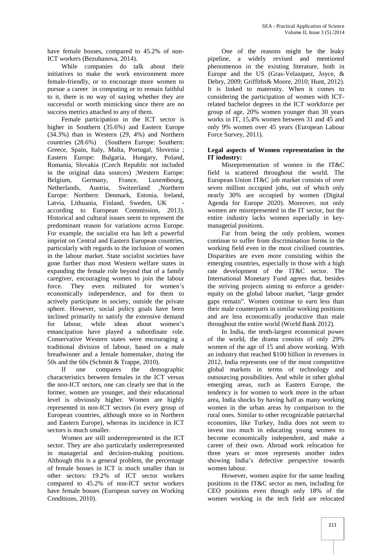have female bosses, compared to 45.2% of non-ICT workers (Bezuhanova, 2014).

While companies do talk about their initiatives to make the work environment more female-friendly, or to encourage more women to pursue a career in computing or to remain faithful to it, there is no way of saying whether they are successful or worth mimicking since there are no success metrics attached to any of them.

Female participation in the ICT sector is higher in Southern (35.6%) and Eastern Europe (34.3%) than in Western (29, 4%) and Northern countries (28.6%) (Southern Europe: Southern: Greece, Spain, Italy, Malta, Portugal, Slovenia ; Eastern Europe: Bulgaria, Hungary, Poland, Romania, Slovakia (Czech Republic not included in the original data sources) ;Western Europe: Belgium, Germany, France, Luxembourg, Netherlands, Austria, Switzerland ,Northern Europe: Northern: Denmark, Estonia, Ireland, Latvia, Lithuania, Finland, Sweden, UK according to European Commission, 2013). Historical and cultural issues seem to represent the predominant reason for variations across Europe. For example, the socialist era has left a powerful imprint on Central and Eastern European countries, particularly with regards to the inclusion of women in the labour market. State socialist societies have gone further than most Western welfare states in expanding the female role beyond that of a family caregiver, encouraging women to join the labour force. They even militated for women's economically independence, and for them to actively participate in society, outside the private sphere. However, social policy goals have been inclined primarily to satisfy the extensive demand for labour, while ideas about women's emancipation have played a subordinate role. Conservative Western states were encouraging a traditional division of labour, based on a male breadwinner and a female homemaker, during the 50s and the 60s (Schmitt & Trappe, 2010).

If one compares the demographic characteristics between females in the ICT versus the non-ICT sectors, one can clearly see that in the former, women are younger, and their educational level is obviously higher. Women are highly represented in non-ICT sectors (in every group of European countries, although more so in Northern and Eastern Europe), whereas its incidence in ICT sectors is much smaller.

Women are still underrepresented in the ICT sector. They are also particularly underrepresented in managerial and decision-making positions. Although this is a general problem, the percentage of female bosses in ICT is much smaller than in other sectors: 19.2% of ICT sector workers compared to 45.2% of non-ICT sector workers have female bosses (European survey on Working Conditions, 2010).

One of the reasons might be the leaky pipeline, a widely revised and mentioned phenomenon in the existing literature, both in Europe and the US (Gras-Velazquez, Joyce, & Debry, 2009; Griffiths& Moore, 2010; Hunt, 2012). It is linked to maternity. When it comes to considering the participation of women with ICTrelated bachelor degrees in the ICT workforce per group of age, 20% women younger than 30 years works in IT, 15,4% women between 31 and 45 and only 9% women over 45 years (European Labour Force Survey, 2011).

## **Legal aspects of Women representation in the IT industry:**

Misrepresentation of women in the IT&C field is scattered throughout the world. The European Union IT&C job market consists of over seven million occupied jobs, out of which only nearly 30% are occupied by women (Digital Agenda for Europe 2020). Moreover, not only women are misrepresented in the IT sector, but the entire industry lacks women especially in key managerial positions.

Far from being the only problem, women continue to suffer from discrimination forms in the working field even in the most civilised countries. Disparities are even more consisting within the emerging countries, especially in those with a high rate development of the IT&C sector. The International Monetary Fund agrees that, besides the striving projects aiming to enforce a gender equity on the global labour market, "large gender gaps remain". Women continue to earn less than their male counterparts in similar working positions and are less economically productive than male throughout the entire world (World Bank 2012).

In India, the tenth-largest economical power of the world, the drama consists of only 29% women of the age of 15 and above working. With an industry that reached \$100 billion in revenues in 2012, India represents one of the most competitive global markets in terms of technology and outsourcing possibilities. And while in other global emerging areas, such as Eastern Europe, the tendency is for women to work more in the urban area, India shocks by having half as many working women in the urban areas by comparison to the rural ones. Similar to other recognizable patriarchal economies, like Turkey, India does not seem to invest too much in educating young women to become economically independent, and make a career of their own. Abroad work relocation for three years or more represents another index showing India's defective perspective towards women labour.

However, women aspire for the same leading positions in the IT&C sector as men, including for CEO positions even though only 18% of the women working in the tech field are relocated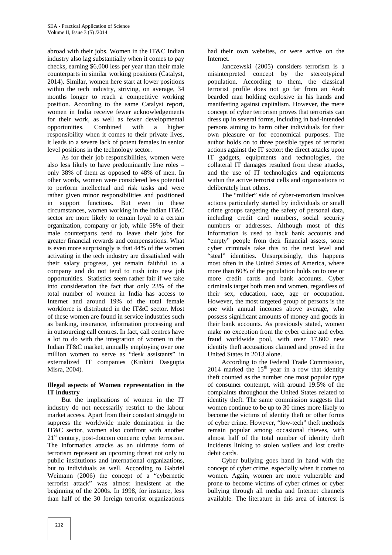abroad with their jobs. Women in the IT&C Indian industry also lag substantially when it comes to pay checks, earning \$6,000 less per year than their male counterparts in similar working positions (Catalyst, 2014). Similar, women here start at lower positions within the tech industry, striving, on average, 34 months longer to reach a competitive working position. According to the same Catalyst report, women in India receive fewer acknowledgements for their work, as well as fewer developmental<br>opportunities. Combined with a higher opportunities. Combined with a higher responsibility when it comes to their private lives, it leads to a severe lack of potent females in senior level positions in the technology sector.

As for their job responsibilities, women were also less likely to have predominantly line roles – only 38% of them as opposed to 48% of men. In other words, women were considered less potential to perform intellectual and risk tasks and were rather given minor responsibilities and positioned in support functions. But even in these circumstances, women working in the Indian IT&C sector are more likely to remain loyal to a certain organization, company or job, while 58% of their male counterparts tend to leave their jobs for greater financial rewards and compensations. What is even more surprisingly is that 44% of the women activating in the tech industry are dissatisfied with their salary progress, yet remain faithful to a company and do not tend to rush into new job opportunities. Statistics seem rather fair if we take into consideration the fact that only 23% of the total number of women in India has access to Internet and around 19% of the total female workforce is distributed in the IT&C sector. Most of these women are found in service industries such as banking, insurance, information processing and in outsourcing call centres. In fact, call centres have a lot to do with the integration of women in the Indian IT&C market, annually employing over one million women to serve as "desk assistants" in externalized IT companies (Kinkini Dasgupta Misra, 2004).

## **Illegal aspects of Women representation in the IT industry**

But the implications of women in the IT industry do not necessarily restrict to the labour market access. Apart from their constant struggle to suppress the worldwide male domination in the IT&C sector, women also confront with another  $21<sup>st</sup>$  century, post-dotcom concern: cyber terrorism. The informatics attacks as an ultimate form of terrorism represent an upcoming threat not only to public institutions and international organizations, but to individuals as well. According to Gabriel Weimann (2006) the concept of a "cybernetic terrorist attack" was almost inexistent at the beginning of the 2000s. In 1998, for instance, less than half of the 30 foreign terrorist organizations

had their own websites, or were active on the **Internet** 

Janczewski (2005) considers terrorism is a misinterpreted concept by the stereotypical population. According to them, the classical terrorist profile does not go far from an Arab bearded man holding explosive in his hands and manifesting against capitalism. However, the mere concept of cyber terrorism proves that terrorists can dress up in several forms, including in bad-intended persons aiming to harm other individuals for their own pleasure or for economical purposes. The author holds on to three possible types of terrorist actions against the IT sector: the direct attacks upon IT gadgets, equipments and technologies, the collateral IT damages resulted from these attacks, and the use of IT technologies and equipments within the active terrorist cells and organisations to deliberately hurt others.

The "milder" side of cyber-terrorism involves actions particularly started by individuals or small crime groups targeting the safety of personal data, including credit card numbers, social security numbers or addresses. Although most of this information is used to hack bank accounts and "empty" people from their financial assets, some cyber criminals take this to the next level and "steal" identities. Unsurprisingly, this happens most often in the United States of America, where more than 60% of the population holds on to one or more credit cards and bank accounts. Cyber criminals target both men and women, regardless of their sex, education, race, age or occupation. However, the most targeted group of persons is the one with annual incomes above average, who possess significant amounts of money and goods in their bank accounts. As previously stated, women make no exception from the cyber crime and cyber fraud worldwide pool, with over 17,600 new identity theft accusations claimed and proved in the United States in 2013 alone.

According to the Federal Trade Commission, 2014 marked the  $15<sup>th</sup>$  year in a row that identity theft counted as the number one most popular type of consumer contempt, with around 19.5% of the complaints throughout the United States related to identity theft. The same commission suggests that women continue to be up to 30 times more likely to become the victims of identity theft or other forms of cyber crime. However, "low-tech" theft methods remain popular among occasional thieves, with almost half of the total number of identity theft incidents linking to stolen wallets and lost credit/ debit cards.

Cyber bullying goes hand in hand with the concept of cyber crime, especially when it comes to women. Again, women are more vulnerable and prone to become victims of cyber crimes or cyber bullying through all media and Internet channels available. The literature in this area of interest is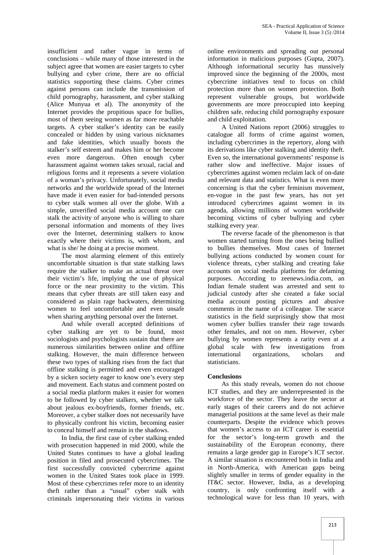insufficient and rather vague in terms of conclusions – while many of those interested in the subject agree that women are easier targets to cyber bullying and cyber crime, there are no official statistics supporting these claims. Cyber crimes against persons can include the transmission of child pornography, harassment, and cyber stalking (Alice Munyua et al). The anonymity of the Internet provides the propitious space for bullies, most of them seeing women as far more reachable targets. A cyber stalker's identity can be easily concealed or hidden by using various nicknames and fake identities, which usually boosts the stalker's self esteem and makes him or her become even more dangerous. Often enough cyber harassment against women takes sexual, racial and religious forms and it represents a severe violation of a woman's privacy. Unfortunately, social media networks and the worldwide spread of the Internet have made it even easier for bad-intended persons to cyber stalk women all over the globe. With a simple, unverified social media account one can stalk the activity of anyone who is willing to share personal information and moments of they lives over the Internet, determining stalkers to know exactly where their victims is, with whom, and what is she/ he doing at a precise moment.

The most alarming element of this entirely uncomfortable situation is that state stalking laws require the stalker to make an actual threat over their victim's life, implying the use of physical force or the near proximity to the victim. This means that cyber threats are still taken easy and considered as plain rage backwaters, determining women to feel uncomfortable and even unsafe when sharing anything personal over the Internet.

And while overall accepted definitions of cyber stalking are yet to be found, most sociologists and psychologists sustain that there are numerous similarities between online and offline stalking. However, the main difference between these two types of stalking rises from the fact that offline stalking is permitted and even encouraged by a sicken society eager to know one's every step and movement. Each status and comment posted on a social media platform makes it easier for women to be followed by cyber stalkers, whether we talk about jealous ex-boyfriends, former friends, etc. Moreover, a cyber stalker does not necessarily have to physically confront his victim, becoming easier to conceal himself and remain in the shadows.

In India, the first case of cyber stalking ended with prosecution happened in mid 2000, while the United States continues to have a global leading position in filed and prosecuted cybercrimes. The first successfully convicted cybercrime against women in the United States took place in 1999. Most of these cybercrimes refer more to an identity theft rather than a "usual" cyber stalk with criminals impersonating their victims in various

online environments and spreading out personal information in malicious purposes (Gupta, 2007). Although informational security has massively improved since the beginning of the 2000s, most cybercrime initiatives tend to focus on child protection more than on women protection. Both represent vulnerable groups, but worldwide governments are more preoccupied into keeping children safe, reducing child pornography exposure and child exploitation.

A United Nations report (2006) struggles to catalogue all forms of crime against women, including cybercrimes in the repertory, along with its derivations like cyber stalking and identity theft. Even so, the international governments' response is rather slow and ineffective. Major issues of cybercrimes against women reclaim lack of on-date and relevant data and statistics. What is even more concerning is that the cyber feminism movement, en-vogue in the past few years, has not yet introduced cybercrimes against women in its agenda, allowing millions of women worldwide becoming victims of cyber bullying and cyber stalking every year.

The reverse facade of the phenomenon is that women started turning from the ones being bullied to bullies themselves. Most cases of Internet bullying actions conducted by women count for violence threats, cyber stalking and creating fake accounts on social media platforms for defaming purposes. According to zeenews.india.com, an Indian female student was arrested and sent to judicial custody after she created a fake social media account posting pictures and abusive comments in the name of a colleague. The scarce statistics in the field surprisingly show that most women cyber bullies transfer their rage towards other females, and not on men. However, cyber bullying by women represents a rarity even at a global scale with few investigations from organizations, scholars and statisticians.

## **Conclusions**

As this study reveals, women do not choose ICT studies, and they are underrepresented in the workforce of the sector. They leave the sector at early stages of their careers and do not achieve managerial positions at the same level as their male counterparts. Despite the evidence which proves that women's access to an ICT career is essential for the sector's long-term growth and the sustainability of the European economy, there remains a large gender gap in Europe's ICT sector. A similar situation is encountered both in India and in North-America, with American gaps being slightly smaller in terms of gender equality in the IT&C sector. However, India, as a developing country, is only confronting itself with a technological wave for less than 10 years, with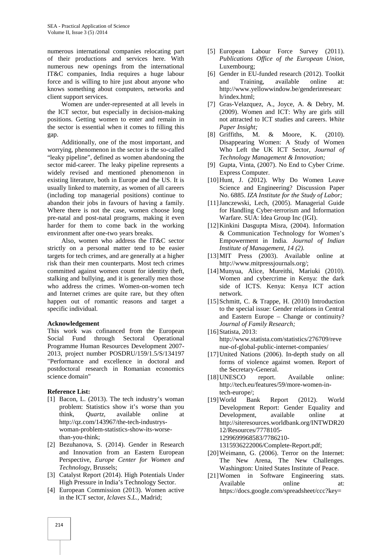numerous international companies relocating part of their productions and services here. With numerous new openings from the international IT&C companies, India requires a huge labour force and is willing to hire just about anyone who knows something about computers, networks and client support services.

Women are under-represented at all levels in the ICT sector, but especially in decision-making positions. Getting women to enter and remain in the sector is essential when it comes to filling this gap.

Additionally, one of the most important, and worrying, phenomenon in the sector is the so-called "leaky pipeline", defined as women abandoning the sector mid-career. The leaky pipeline represents a widely revised and mentioned phenomenon in existing literature, both in Europe and the US. It is usually linked to maternity, as women of all careers (including top managerial positions) continue to abandon their jobs in favours of having a family. Where there is not the case, women choose long pre-natal and post-natal programs, making it even harder for them to come back in the working environment after one-two years breaks.

Also, women who address the IT&C sector strictly on a personal matter tend to be easier targets for tech crimes, and are generally at a higher risk than their men counterparts. Most tech crimes committed against women count for identity theft, stalking and bullying, and it is generally men those who address the crimes. Women-on-women tech and Internet crimes are quite rare, but they often happen out of romantic reasons and target a specific individual.

#### **Acknowledgement**

This work was cofinanced from the European Social Fund through Sectoral Operational Programme Human Resources Development 2007- 2013, project number POSDRU/159/1.5/S/134197 "Performance and excellence in doctoral and postdoctoral research in Romanian economics science domain"

#### **Reference List:**

- [1] Bacon, L. (2013). The tech industry's woman problem: Statistics show it's worse than you think, *Quartz,* available online at http://qz.com/143967/the-tech-industrys woman-problem-statistics-show-its-worsethan-you-think;
- [2] Bezuhanova, S. (2014). Gender in Research and Innovation from an Eastern European Perspective, *Europe Center for Women and Technology*, Brussels;
- [3] Catalyst Report (2014). High Potentials Under High Pressure in India's Technology Sector.
- [4] European Commission (2013). Women active in the ICT sector, *Iclaves S.L.,* Madrid;
- [5] European Labour Force Survey (2011). *Publications Office of the European Union,* Luxembourg;
- [6] Gender in EU-funded research (2012). Toolkit and Training, available online at: http://www.yellowwindow.be/genderinresearc h/index.html;
- [7] Gras-Velazquez, A., Joyce, A. & Debry, M. (2009). Women and ICT: Why are girls still not attracted to ICT studies and careers. *White Paper Insight;*
- [8] Griffiths, M. & Moore, K. (2010). Disappearing Women: A Study of Women Who Left the UK ICT Sector*, Journal of Technology Management & Innovation;*
- [9] Gupta, Vinta, (2007). No End to Cyber Crime. Express Computer.
- [10]Hunt, J. (2012). Why Do Women Leave Science and Engineering? Discussion Paper No. 6885. *IZA Institute for the Study of Labor;*
- [11]Janczewski, Lech, (2005). Managerial Guide for Handling Cyber-terrorism and Information Warfare. SUA: Idea Group Inc (IGI).
- [12]Kinkini Dasgupta Misra, (2004). Information & Communication Technology for Women's Empowerment in India. *Journal of Indian Institute of Management*, *14 (2).*
- [13]MIT Press (2003). Available online at http://www.mitpressjournals.org/;
- [14]Munyua, Alice, Mureithi, Mariuki (2010). Women and cybercrime in Kenya: the dark side of ICTS. Kenya: Kenya ICT action network.
- [15] Schmitt, C. & Trappe, H. (2010) Introduction to the special issue: Gender relations in Central and Eastern Europe – Change or continuity? *Journal of Family Research;*
- [16] Statista, 2013: http://www.statista.com/statistics/276709/reve nue-of-global-public-internet-companies/
- [17] United Nations (2006). In-depth study on all forms of violence against women. Report of the Secretary-General.
- [18] UNESCO report. Available online: http://tech.eu/features/59/more-women-intech-europe/;
- [19]World Bank Report (2012). World Development Report: Gender Equality and Development, available online at http://siteresources.worldbank.org/INTWDR20 12/Resources/7778105- 1299699968583/7786210- 1315936222006/Complete-Report.pdf;
- [20] Weimann, G. (2006). Terror on the Internet: The New Arena, The New Challenges. Washington: United States Institute of Peace.
- [21]Women in Software Engineering stats. Available online at: https://docs.google.com/spreadsheet/ccc?key=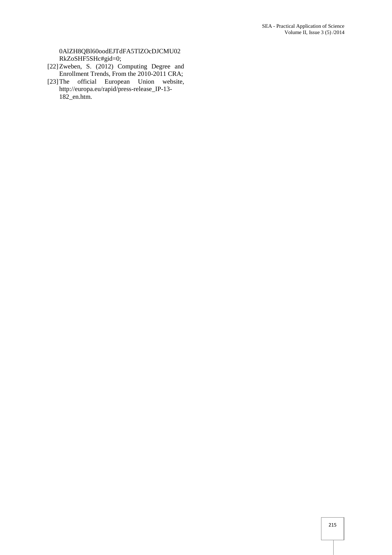0AlZH8QBl60oodEJTdFA5TlZOcDJCMU02 RkZoSHF5SHc#gid=0;

- [22]Zweben, S. (2012) Computing Degree and Enrollment Trends, From the 2010-2011 CRA;
- [23]The official European Union website, http://europa.eu/rapid/press-release\_IP-13- 182\_en.htm.